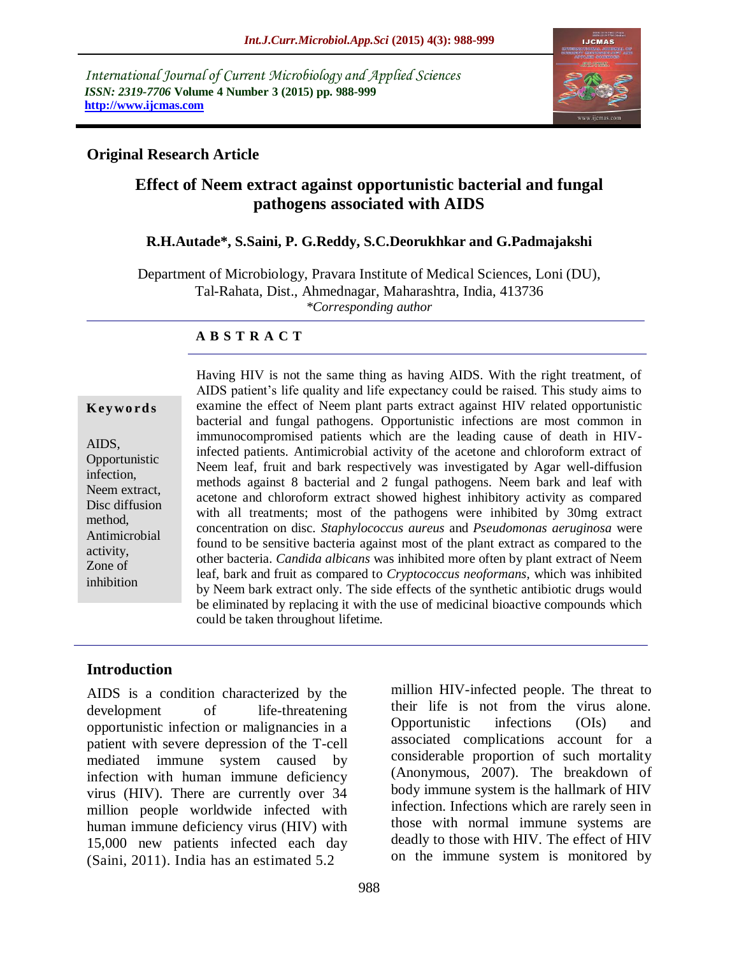*International Journal of Current Microbiology and Applied Sciences ISSN: 2319-7706* **Volume 4 Number 3 (2015) pp. 988-999 http://www.ijcmas.com** 



## **Original Research Article**

# **Effect of Neem extract against opportunistic bacterial and fungal pathogens associated with AIDS**

### **R.H.Autade\*, S.Saini, P. G.Reddy, S.C.Deorukhkar and G.Padmajakshi**

Department of Microbiology, Pravara Institute of Medical Sciences, Loni (DU), Tal-Rahata, Dist., Ahmednagar, Maharashtra, India, 413736 *\*Corresponding author*

#### **A B S T R A C T**

#### **K ey w o rd s**

AIDS, Opportunistic infection, Neem extract, Disc diffusion method, Antimicrobial activity, Zone of inhibition

Having HIV is not the same thing as having AIDS. With the right treatment, of AIDS patient's life quality and life expectancy could be raised. This study aims to examine the effect of Neem plant parts extract against HIV related opportunistic bacterial and fungal pathogens. Opportunistic infections are most common in immunocompromised patients which are the leading cause of death in HIVinfected patients. Antimicrobial activity of the acetone and chloroform extract of Neem leaf, fruit and bark respectively was investigated by Agar well-diffusion methods against 8 bacterial and 2 fungal pathogens. Neem bark and leaf with acetone and chloroform extract showed highest inhibitory activity as compared with all treatments; most of the pathogens were inhibited by 30mg extract concentration on disc. *Staphylococcus aureus* and *Pseudomonas aeruginosa* were found to be sensitive bacteria against most of the plant extract as compared to the other bacteria. *Candida albicans* was inhibited more often by plant extract of Neem leaf, bark and fruit as compared to *Cryptococcus neoformans,* which was inhibited by Neem bark extract only*.* The side effects of the synthetic antibiotic drugs would be eliminated by replacing it with the use of medicinal bioactive compounds which could be taken throughout lifetime.

## **Introduction**

AIDS is a condition characterized by the development of life-threatening opportunistic infection or malignancies in a patient with severe depression of the T-cell mediated immune system caused by infection with human immune deficiency virus (HIV). There are currently over 34 million people worldwide infected with human immune deficiency virus (HIV) with 15,000 new patients infected each day (Saini, 2011). India has an estimated 5.2

million HIV-infected people. The threat to their life is not from the virus alone. Opportunistic infections (OIs) and associated complications account for a considerable proportion of such mortality (Anonymous, 2007). The breakdown of body immune system is the hallmark of HIV infection. Infections which are rarely seen in those with normal immune systems are deadly to those with HIV. The effect of HIV on the immune system is monitored by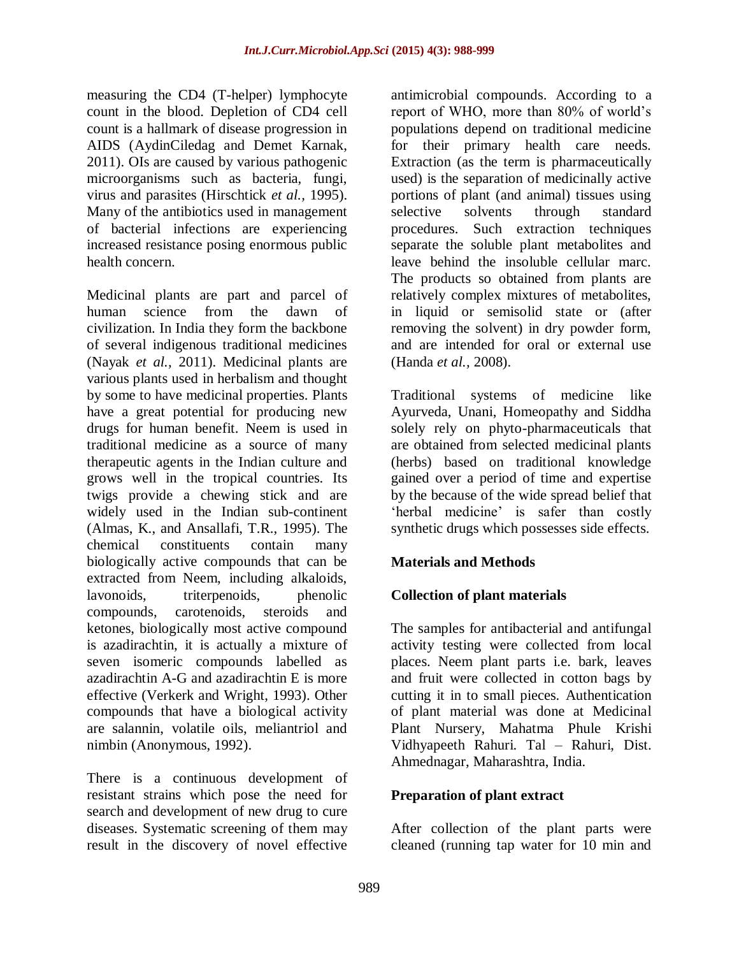measuring the CD4 (T-helper) lymphocyte count in the blood. Depletion of CD4 cell count is a hallmark of disease progression in AIDS (AydinCiledag and Demet Karnak, 2011). OIs are caused by various pathogenic microorganisms such as bacteria, fungi, virus and parasites (Hirschtick *et al.,* 1995). Many of the antibiotics used in management of bacterial infections are experiencing increased resistance posing enormous public health concern.

Medicinal plants are part and parcel of human science from the dawn of civilization. In India they form the backbone of several indigenous traditional medicines (Nayak *et al.,* 2011). Medicinal plants are various plants used in herbalism and thought by some to have medicinal properties. Plants have a great potential for producing new drugs for human benefit. Neem is used in traditional medicine as a source of many therapeutic agents in the Indian culture and grows well in the tropical countries. Its twigs provide a chewing stick and are widely used in the Indian sub-continent (Almas, K., and Ansallafi, T.R., 1995). The chemical constituents contain many biologically active compounds that can be extracted from Neem, including alkaloids, lavonoids, triterpenoids, phenolic compounds, carotenoids, steroids and ketones, biologically most active compound is azadirachtin, it is actually a mixture of seven isomeric compounds labelled as azadirachtin A-G and azadirachtin E is more effective (Verkerk and Wright, 1993). Other compounds that have a biological activity are salannin, volatile oils, meliantriol and nimbin (Anonymous, 1992).

There is a continuous development of resistant strains which pose the need for search and development of new drug to cure diseases. Systematic screening of them may result in the discovery of novel effective

antimicrobial compounds. According to a report of WHO, more than 80% of world's populations depend on traditional medicine for their primary health care needs. Extraction (as the term is pharmaceutically used) is the separation of medicinally active portions of plant (and animal) tissues using selective solvents through standard procedures. Such extraction techniques separate the soluble plant metabolites and leave behind the insoluble cellular marc. The products so obtained from plants are relatively complex mixtures of metabolites, in liquid or semisolid state or (after removing the solvent) in dry powder form, and are intended for oral or external use (Handa *et al.,* 2008).

Traditional systems of medicine like Ayurveda, Unani, Homeopathy and Siddha solely rely on phyto-pharmaceuticals that are obtained from selected medicinal plants (herbs) based on traditional knowledge gained over a period of time and expertise by the because of the wide spread belief that 'herbal medicine' is safer than costly synthetic drugs which possesses side effects.

# **Materials and Methods**

# **Collection of plant materials**

The samples for antibacterial and antifungal activity testing were collected from local places. Neem plant parts i.e. bark, leaves and fruit were collected in cotton bags by cutting it in to small pieces. Authentication of plant material was done at Medicinal Plant Nursery, Mahatma Phule Krishi Vidhyapeeth Rahuri. Tal – Rahuri, Dist. Ahmednagar, Maharashtra, India.

## **Preparation of plant extract**

After collection of the plant parts were cleaned (running tap water for 10 min and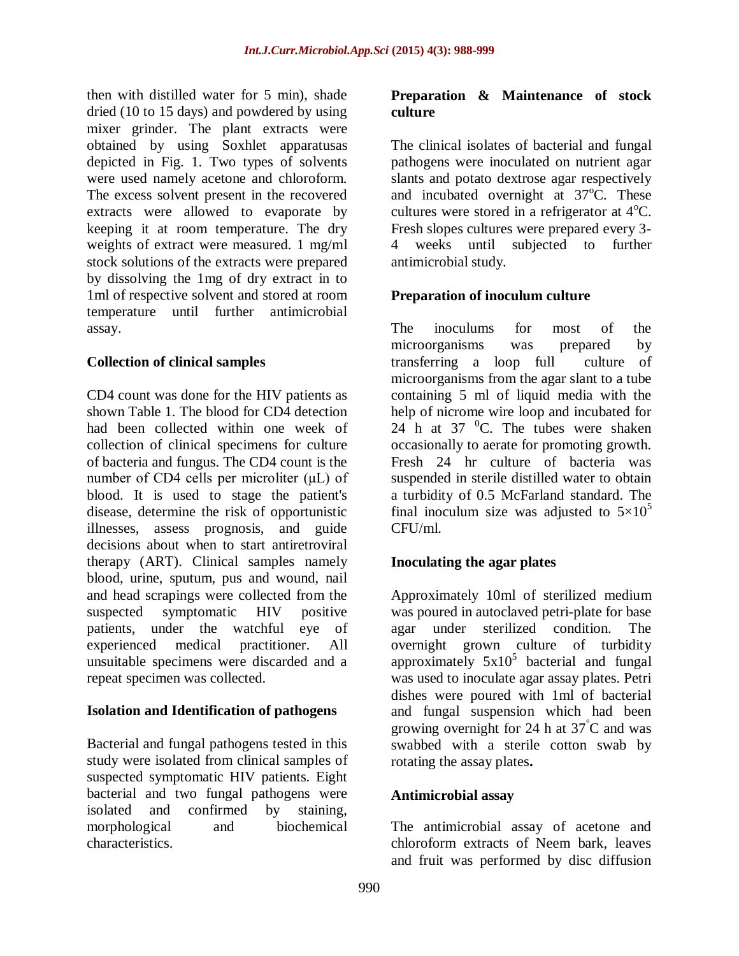then with distilled water for 5 min), shade dried (10 to 15 days) and powdered by using mixer grinder. The plant extracts were obtained by using Soxhlet apparatusas depicted in Fig. 1. Two types of solvents were used namely acetone and chloroform. The excess solvent present in the recovered extracts were allowed to evaporate by keeping it at room temperature. The dry weights of extract were measured. 1 mg/ml stock solutions of the extracts were prepared by dissolving the 1mg of dry extract in to 1ml of respective solvent and stored at room temperature until further antimicrobial assay.

## **Collection of clinical samples**

CD4 count was done for the HIV patients as shown Table 1. The blood for CD4 detection had been collected within one week of collection of clinical specimens for culture of bacteria and fungus. The CD4 count is the number of CD4 cells per microliter (μL) of blood. It is used to stage the patient's disease, determine the risk of opportunistic illnesses, assess prognosis, and guide decisions about when to start antiretroviral therapy (ART). Clinical samples namely blood, urine, sputum, pus and wound, nail and head scrapings were collected from the suspected symptomatic HIV positive patients, under the watchful eye of experienced medical practitioner. All unsuitable specimens were discarded and a repeat specimen was collected.

## **Isolation and Identification of pathogens**

Bacterial and fungal pathogens tested in this study were isolated from clinical samples of suspected symptomatic HIV patients. Eight bacterial and two fungal pathogens were isolated and confirmed by staining, morphological and biochemical characteristics.

## **Preparation & Maintenance of stock culture**

The clinical isolates of bacterial and fungal pathogens were inoculated on nutrient agar slants and potato dextrose agar respectively and incubated overnight at  $37^{\circ}$ C. These cultures were stored in a refrigerator at  $4^{\circ}C$ . Fresh slopes cultures were prepared every 3- 4 weeks until subjected to further antimicrobial study.

## **Preparation of inoculum culture**

The inoculums for most of the microorganisms was prepared by transferring a loop full culture of microorganisms from the agar slant to a tube containing 5 ml of liquid media with the help of nicrome wire loop and incubated for  $24$  h at 37  $^0$ C. The tubes were shaken occasionally to aerate for promoting growth. Fresh 24 hr culture of bacteria was suspended in sterile distilled water to obtain a turbidity of 0.5 McFarland standard. The final inoculum size was adjusted to  $5\times10^{5}$ CFU/ml.

# **Inoculating the agar plates**

Approximately 10ml of sterilized medium was poured in autoclaved petri-plate for base agar under sterilized condition. The overnight grown culture of turbidity approximately  $5x10^5$  bacterial and fungal was used to inoculate agar assay plates. Petri dishes were poured with 1ml of bacterial and fungal suspension which had been growing overnight for 24 h at 37°C and was swabbed with a sterile cotton swab by rotating the assay plates**.**

## **Antimicrobial assay**

The antimicrobial assay of acetone and chloroform extracts of Neem bark, leaves and fruit was performed by disc diffusion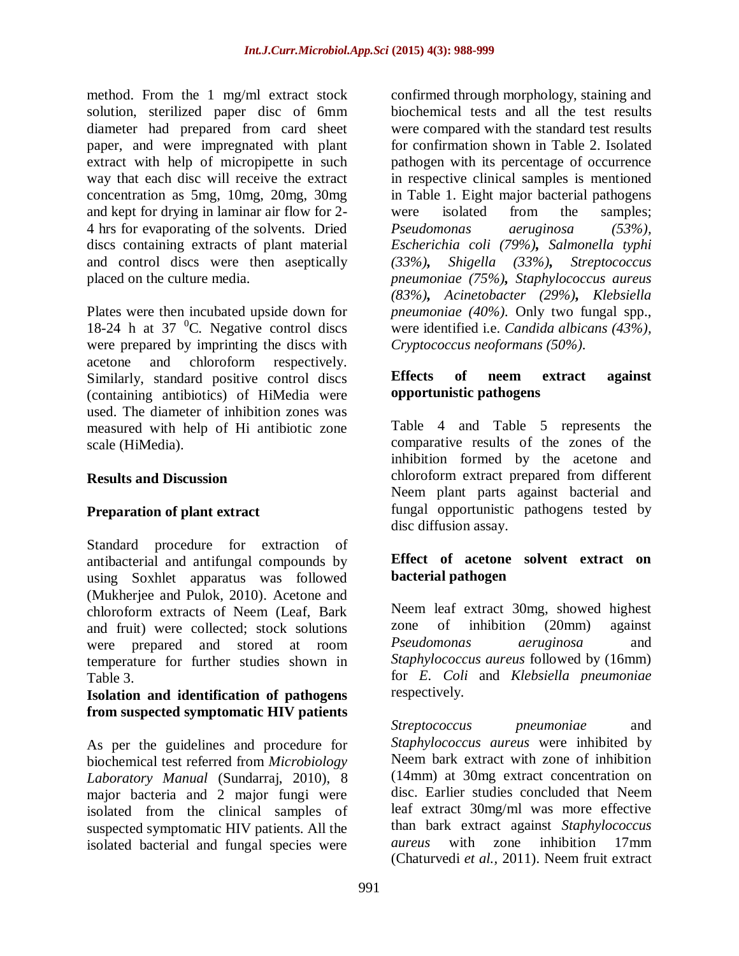method. From the 1 mg/ml extract stock solution, sterilized paper disc of 6mm diameter had prepared from card sheet paper, and were impregnated with plant extract with help of micropipette in such way that each disc will receive the extract concentration as 5mg, 10mg, 20mg, 30mg and kept for drying in laminar air flow for 2- 4 hrs for evaporating of the solvents. Dried discs containing extracts of plant material and control discs were then aseptically placed on the culture media.

Plates were then incubated upside down for 18-24 h at 37 $\mathrm{^{0}C}$ . Negative control discs were prepared by imprinting the discs with acetone and chloroform respectively. Similarly, standard positive control discs (containing antibiotics) of HiMedia were used. The diameter of inhibition zones was measured with help of Hi antibiotic zone scale (HiMedia).

## **Results and Discussion**

## **Preparation of plant extract**

Standard procedure for extraction of antibacterial and antifungal compounds by using Soxhlet apparatus was followed (Mukherjee and Pulok, 2010). Acetone and chloroform extracts of Neem (Leaf, Bark and fruit) were collected; stock solutions were prepared and stored at room temperature for further studies shown in Table 3.

## **Isolation and identification of pathogens from suspected symptomatic HIV patients**

As per the guidelines and procedure for biochemical test referred from *Microbiology Laboratory Manual* (Sundarraj, 2010), 8 major bacteria and 2 major fungi were isolated from the clinical samples of suspected symptomatic HIV patients. All the isolated bacterial and fungal species were

confirmed through morphology, staining and biochemical tests and all the test results were compared with the standard test results for confirmation shown in Table 2. Isolated pathogen with its percentage of occurrence in respective clinical samples is mentioned in Table 1. Eight major bacterial pathogens were isolated from the samples; *Pseudomonas aeruginosa (53%), Escherichia coli (79%), Salmonella typhi (33%), Shigella (33%), Streptococcus pneumoniae (75%), Staphylococcus aureus (83%), Acinetobacter (29%), Klebsiella pneumoniae (40%).* Only two fungal spp., were identified i.e. *Candida albicans (43%), Cryptococcus neoformans (50%).* 

## **Effects of neem extract against opportunistic pathogens**

Table 4 and Table 5 represents the comparative results of the zones of the inhibition formed by the acetone and chloroform extract prepared from different Neem plant parts against bacterial and fungal opportunistic pathogens tested by disc diffusion assay.

## **Effect of acetone solvent extract on bacterial pathogen**

Neem leaf extract 30mg, showed highest zone of inhibition (20mm) against *Pseudomonas aeruginosa* and *Staphylococcus aureus* followed by (16mm) for *E. Coli* and *Klebsiella pneumoniae* respectively.

*Streptococcus pneumoniae* and *Staphylococcus aureus* were inhibited by Neem bark extract with zone of inhibition (14mm) at 30mg extract concentration on disc. Earlier studies concluded that Neem leaf extract 30mg/ml was more effective than bark extract against *Staphylococcus aureus* with zone inhibition 17mm (Chaturvedi *et al.,* 2011). Neem fruit extract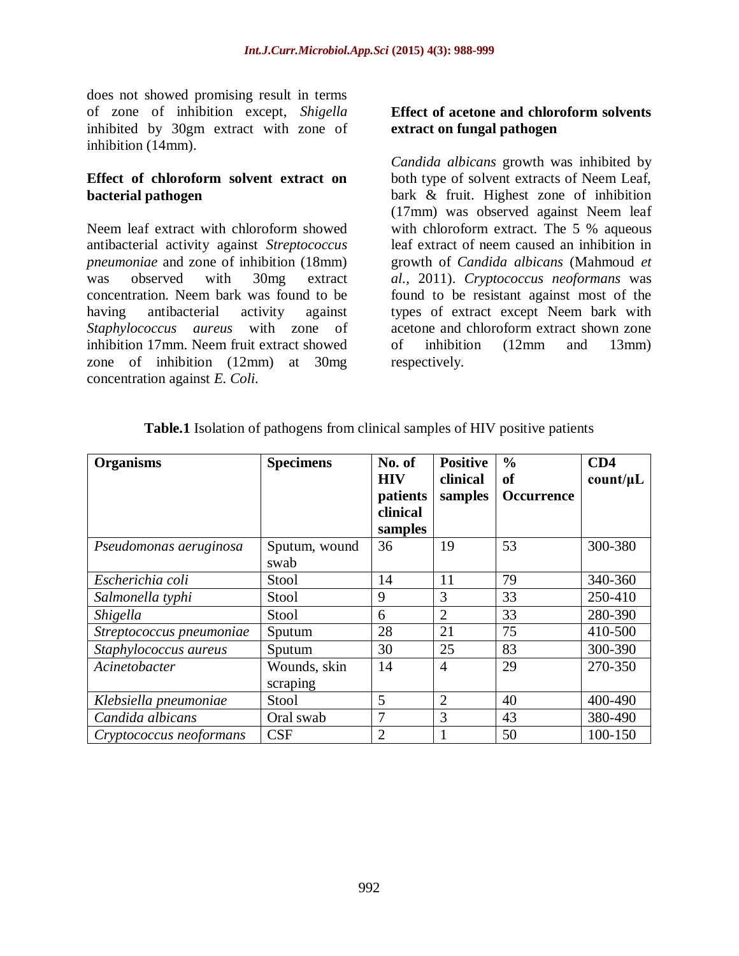does not showed promising result in terms of zone of inhibition except, *Shigella* inhibited by 30gm extract with zone of inhibition (14mm).

### **Effect of chloroform solvent extract on bacterial pathogen**

Neem leaf extract with chloroform showed antibacterial activity against *Streptococcus pneumoniae* and zone of inhibition (18mm) was observed with 30mg extract concentration. Neem bark was found to be having antibacterial activity against *Staphylococcus aureus* with zone of inhibition 17mm. Neem fruit extract showed zone of inhibition (12mm) at 30mg concentration against *E. Coli.*

## **Effect of acetone and chloroform solvents extract on fungal pathogen**

*Candida albicans* growth was inhibited by both type of solvent extracts of Neem Leaf, bark & fruit. Highest zone of inhibition (17mm) was observed against Neem leaf with chloroform extract. The 5 % aqueous leaf extract of neem caused an inhibition in growth of *Candida albicans* (Mahmoud *et al.,* 2011). *Cryptococcus neoformans* was found to be resistant against most of the types of extract except Neem bark with acetone and chloroform extract shown zone of inhibition (12mm and 13mm) respectively.

| <b>Organisms</b>         | <b>Specimens</b> | No. of         | <b>Positive</b> | $\frac{0}{0}$ | CD4      |
|--------------------------|------------------|----------------|-----------------|---------------|----------|
|                          |                  | <b>HIV</b>     | clinical        | of            | count/µL |
|                          |                  | patients       | samples         | Occurrence    |          |
|                          |                  | clinical       |                 |               |          |
|                          |                  | samples        |                 |               |          |
| Pseudomonas aeruginosa   | Sputum, wound    | 36             | 19              | 53            | 300-380  |
|                          | swab             |                |                 |               |          |
| Escherichia coli         | Stool            | 14             | 11              | 79            | 340-360  |
| Salmonella typhi         | Stool            | 9              | 3               | 33            | 250-410  |
| <i>Shigella</i>          | Stool            | 6              | $\overline{2}$  | 33            | 280-390  |
| Streptococcus pneumoniae | Sputum           | 28             | 21              | 75            | 410-500  |
| Staphylococcus aureus    | Sputum           | 30             | 25              | 83            | 300-390  |
| Acinetobacter            | Wounds, skin     | 14             | $\overline{4}$  | 29            | 270-350  |
|                          | scraping         |                |                 |               |          |
| Klebsiella pneumoniae    | Stool            | 5              | $\overline{2}$  | 40            | 400-490  |
| Candida albicans         | Oral swab        | 7              | 3               | 43            | 380-490  |
| Cryptococcus neoformans  | CSF              | $\overline{2}$ |                 | 50            | 100-150  |

**Table.1** Isolation of pathogens from clinical samples of HIV positive patients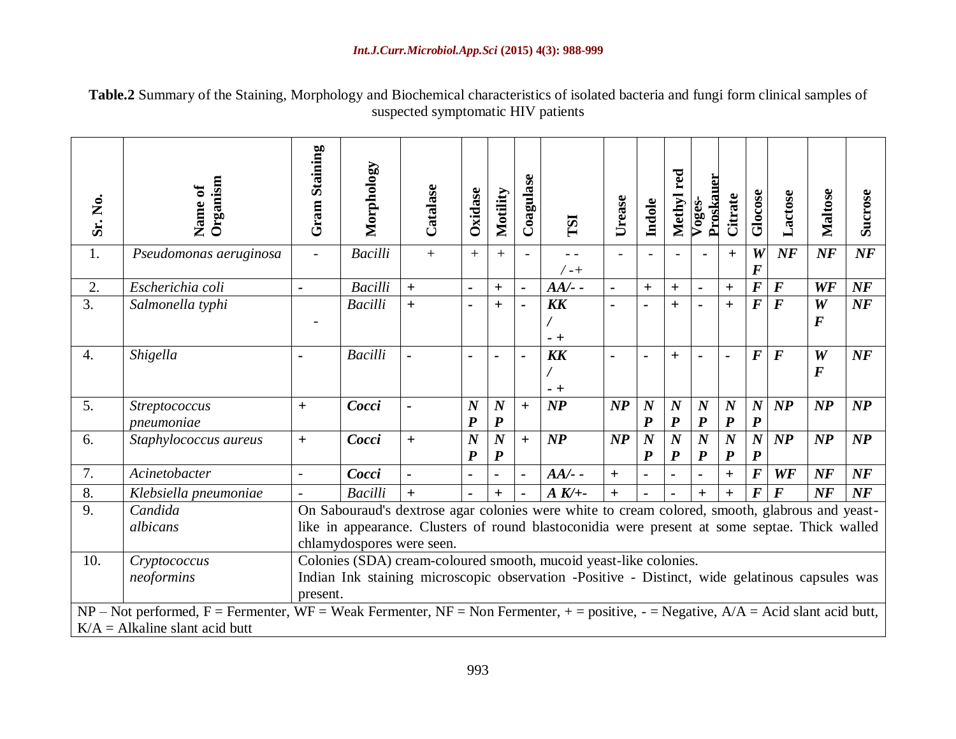**Table.2** Summary of the Staining, Morphology and Biochemical characteristics of isolated bacteria and fungi form clinical samples of suspected symptomatic HIV patients

| Sr. No.          | Organism<br>Name of                                                                                                                                                         | <b>Gram Staining</b>                                                                                                                                                                                                         | Morphology     | Catalase | Oxidase                              | Motility                             | Coagulase      | <b>TSI</b>         | Urease            | Indole                               | red<br>Methyl                        | Proskauer<br>Voges-                  | Citrate                              | Glocose                              | Lactose           | <b>Maltose</b>        | Sucrose       |
|------------------|-----------------------------------------------------------------------------------------------------------------------------------------------------------------------------|------------------------------------------------------------------------------------------------------------------------------------------------------------------------------------------------------------------------------|----------------|----------|--------------------------------------|--------------------------------------|----------------|--------------------|-------------------|--------------------------------------|--------------------------------------|--------------------------------------|--------------------------------------|--------------------------------------|-------------------|-----------------------|---------------|
| 1.               | Pseudomonas aeruginosa                                                                                                                                                      | $\blacksquare$                                                                                                                                                                                                               | <b>Bacilli</b> | $+$      | $+$                                  | $+$                                  |                | / -+               |                   |                                      |                                      |                                      | $+$                                  | W<br>$\boldsymbol{F}$                | $N\!F$            | NF                    | NF            |
| 2.               | Escherichia coli                                                                                                                                                            |                                                                                                                                                                                                                              | <b>Bacilli</b> | $+$      | $\overline{a}$                       | $\ddot{}$                            | $\blacksquare$ | $AA/-$             | $\overline{a}$    | $\ddot{}$                            | $\ddot{}$                            | $\blacksquare$                       | $\ddot{+}$                           | $\overline{F}$                       | $\bm{F}$          | WF                    | NF            |
| 3.               | Salmonella typhi                                                                                                                                                            |                                                                                                                                                                                                                              | <b>Bacilli</b> | $+$      | $\blacksquare$                       | $\ddag$                              | $\blacksquare$ | <b>KK</b><br>$- +$ | $\overline{a}$    | $\overline{\phantom{0}}$             | $+$                                  | $\overline{\phantom{0}}$             | $+$                                  | $\bm{F}$                             | $\bm{F}$          | W<br>$\boldsymbol{F}$ | NF            |
| $\overline{4}$ . | Shigella                                                                                                                                                                    |                                                                                                                                                                                                                              | <b>Bacilli</b> |          |                                      |                                      |                | <b>KK</b><br>$-+$  | $\overline{a}$    |                                      | $\pm$                                |                                      | ÷                                    | $\boldsymbol{F}$                     | $\boldsymbol{F}$  | W<br>$\boldsymbol{F}$ | NF            |
| 5.               | Streptococcus<br>pneumoniae                                                                                                                                                 | $\ddot{}$                                                                                                                                                                                                                    | Cocci          |          | $\boldsymbol{N}$<br>$\boldsymbol{P}$ | $\boldsymbol{N}$<br>$\boldsymbol{P}$ | $+$            | $\boldsymbol{NP}$  | $\mathbf{NP}$     | $\boldsymbol{N}$<br>$\boldsymbol{P}$ | $\boldsymbol{N}$<br>$\boldsymbol{P}$ | $\boldsymbol{N}$<br>$\boldsymbol{P}$ | $\boldsymbol{N}$<br>$\boldsymbol{P}$ | $\boldsymbol{N}$<br>$\boldsymbol{P}$ | $\mathbf{NP}$     | $\boldsymbol{NP}$     | $\mathbf{NP}$ |
| 6.               | Staphylococcus aureus                                                                                                                                                       | $+$                                                                                                                                                                                                                          | Cocci          | $+$      | $\boldsymbol{N}$<br>$\boldsymbol{P}$ | $\boldsymbol{N}$<br>$\boldsymbol{P}$ | $+$            | $\boldsymbol{NP}$  | $\boldsymbol{NP}$ | $\boldsymbol{N}$<br>$\boldsymbol{P}$ | $\boldsymbol{N}$<br>$\boldsymbol{P}$ | $\boldsymbol{N}$<br>$\boldsymbol{P}$ | $\boldsymbol{N}$<br>$\boldsymbol{P}$ | $\boldsymbol{N}$<br>$\boldsymbol{P}$ | $\boldsymbol{NP}$ | $\boldsymbol{NP}$     | $\mathbf{NP}$ |
| 7.               | Acinetobacter                                                                                                                                                               | $\overline{a}$                                                                                                                                                                                                               | Cocci          |          |                                      |                                      | $\blacksquare$ | $AA/-$             | $+$               | $\blacksquare$                       |                                      | $\blacksquare$                       | $+$                                  | $\boldsymbol{F}$                     | WF                | $N\!F$                | NF            |
| 8.               | Klebsiella pneumoniae                                                                                                                                                       |                                                                                                                                                                                                                              | <b>Bacilli</b> |          |                                      | $+$                                  | $\blacksquare$ | $A K$ /+-          | $+$               |                                      |                                      | $+$                                  | $+$                                  | $\bm{F}$                             | $\bm{F}$          | $N\!F$                | NF            |
| 9.               | Candida<br>albicans                                                                                                                                                         | On Sabouraud's dextrose agar colonies were white to cream colored, smooth, glabrous and yeast-<br>like in appearance. Clusters of round blastoconidia were present at some septae. Thick walled<br>chlamydospores were seen. |                |          |                                      |                                      |                |                    |                   |                                      |                                      |                                      |                                      |                                      |                   |                       |               |
| 10.              | Cryptococcus<br>neoformins                                                                                                                                                  | Colonies (SDA) cream-coloured smooth, mucoid yeast-like colonies.<br>Indian Ink staining microscopic observation -Positive - Distinct, wide gelatinous capsules was<br>present.                                              |                |          |                                      |                                      |                |                    |                   |                                      |                                      |                                      |                                      |                                      |                   |                       |               |
|                  | $NP$ – Not performed, F = Fermenter, WF = Weak Fermenter, NF = Non Fermenter, + = positive, - = Negative, $A/A$ = Acid slant acid butt,<br>$K/A = Alkaline slant acid butt$ |                                                                                                                                                                                                                              |                |          |                                      |                                      |                |                    |                   |                                      |                                      |                                      |                                      |                                      |                   |                       |               |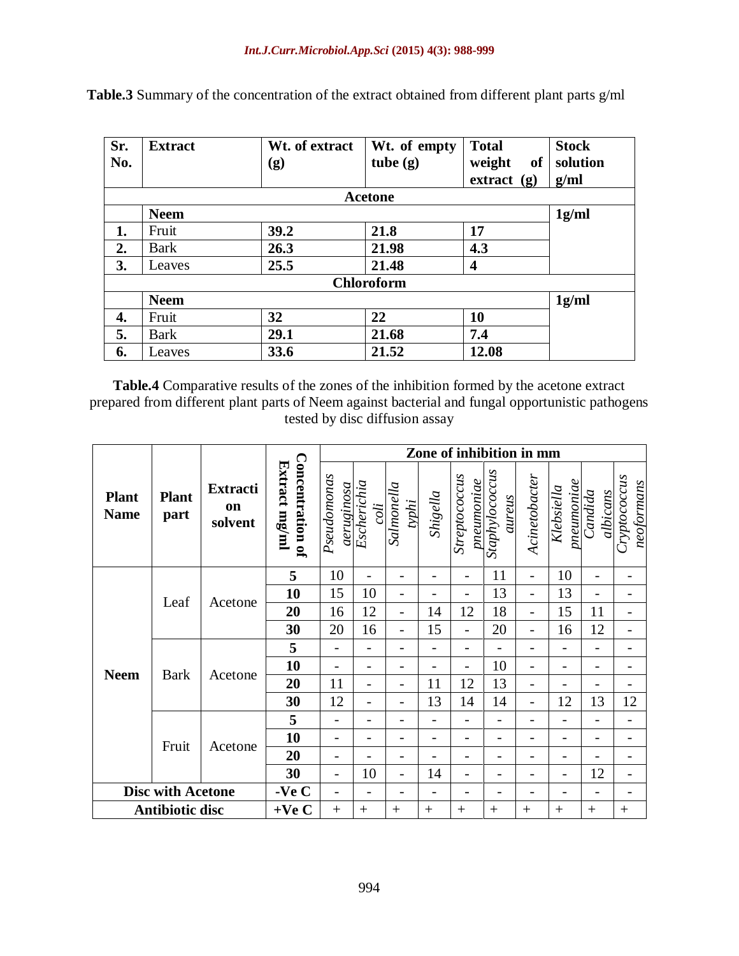| Sr. | <b>Extract</b> | Wt. of extract | Wt. of empty      | <b>Total</b><br>weight<br><b>of</b> | <b>Stock</b> |
|-----|----------------|----------------|-------------------|-------------------------------------|--------------|
| No. |                | (g)            | tube $(g)$        |                                     | solution     |
|     |                |                |                   | $extract$ (g)                       | g/ml         |
|     |                |                | Acetone           |                                     |              |
|     | <b>Neem</b>    |                |                   |                                     | 1g/ml        |
| 1.  | Fruit          | 39.2           | 21.8              | 17                                  |              |
| 2.  | <b>Bark</b>    | 26.3           | 21.98             | 4.3                                 |              |
| 3.  | Leaves         | 25.5           | 21.48             | 4                                   |              |
|     |                |                | <b>Chloroform</b> |                                     |              |
|     | <b>Neem</b>    |                |                   |                                     | 1g/ml        |
| 4.  | Fruit          | 32<br>22<br>10 |                   |                                     |              |
| 5.  | <b>Bark</b>    | 29.1           | 21.68             | 7.4                                 |              |
| 6.  | Leaves         | 33.6           | 21.52             | 12.08                               |              |

**Table.3** Summary of the concentration of the extract obtained from different plant parts g/ml

**Table.4** Comparative results of the zones of the inhibition formed by the acetone extract prepared from different plant parts of Neem against bacterial and fungal opportunistic pathogens tested by disc diffusion assay

|                             |                      | <b>Extracti</b><br><b>on</b><br>solvent |                                          | Zone of inhibition in mm |                                   |                          |          |                             |                          |                          |                                |                          |                            |  |  |  |  |
|-----------------------------|----------------------|-----------------------------------------|------------------------------------------|--------------------------|-----------------------------------|--------------------------|----------|-----------------------------|--------------------------|--------------------------|--------------------------------|--------------------------|----------------------------|--|--|--|--|
| <b>Plant</b><br><b>Name</b> | <b>Plant</b><br>part |                                         | <b>Concentration of</b><br>Extract mg/ml | Pseudomonas              | aeruginosa<br>Escherichia<br>coli | Salmonella<br>typhi      | Shigella | Streptococcus<br>pneumoniae | Staphylococcus<br>aureus | Acinetobacter            | $p$ neum $oniae$<br>Klebsiella | albicans<br>Candida      | Cryptococcus<br>neoformans |  |  |  |  |
|                             |                      | Acetone                                 | 5                                        | 10                       | $\overline{a}$                    | -                        | -        | $\overline{\phantom{a}}$    | 11                       | $\overline{\phantom{0}}$ | 10                             | $\overline{\phantom{0}}$ | $\qquad \qquad -$          |  |  |  |  |
|                             | Leaf                 |                                         | 10                                       | 15                       | 10                                | $\overline{\phantom{0}}$ |          |                             | 13                       | $\overline{a}$           | 13                             |                          |                            |  |  |  |  |
|                             |                      |                                         | 20                                       | 16                       | 12                                | $\overline{a}$           | 14       | 12                          | 18                       | $\overline{\phantom{0}}$ | 15                             | 11                       | $\overline{\phantom{0}}$   |  |  |  |  |
|                             |                      |                                         | 30                                       | 20                       | 16                                | $\overline{a}$           | 15       |                             | 20                       |                          | 16                             | 12                       | $\overline{\phantom{0}}$   |  |  |  |  |
|                             |                      | Acetone                                 | 5                                        |                          |                                   | $\overline{a}$           | -        | $\overline{\phantom{0}}$    |                          |                          | $\overline{\phantom{0}}$       | $\overline{\phantom{0}}$ |                            |  |  |  |  |
|                             | <b>Bark</b>          |                                         | 10                                       |                          | -                                 | -                        | -        | -                           | 10                       | -                        | $\qquad \qquad -$              | -                        | $\qquad \qquad -$          |  |  |  |  |
| <b>Neem</b>                 |                      |                                         | 20                                       | 11                       |                                   | $\overline{a}$           | 11       | 12                          | 13                       |                          |                                |                          |                            |  |  |  |  |
|                             |                      |                                         | 30                                       | 12                       | $\overline{\phantom{0}}$          | $\overline{a}$           | 13       | 14                          | 14                       | $\overline{\phantom{0}}$ | 12                             | 13                       | 12                         |  |  |  |  |
|                             |                      | Acetone                                 | 5                                        |                          | $\overline{a}$                    | $\overline{a}$           | -        |                             |                          |                          | $\overline{\phantom{0}}$       | $\overline{\phantom{0}}$ |                            |  |  |  |  |
|                             | Fruit                |                                         | 10                                       | $\overline{\phantom{a}}$ | $\overline{\phantom{0}}$          | -                        | -        | -                           | $\overline{\phantom{0}}$ | -                        | $\qquad \qquad -$              | -                        | $\overline{\phantom{0}}$   |  |  |  |  |
|                             |                      |                                         | 20                                       |                          |                                   | -                        |          |                             |                          |                          | $\qquad \qquad -$              |                          |                            |  |  |  |  |
|                             |                      |                                         | 30                                       | $\overline{\phantom{0}}$ | 10                                | $\overline{\phantom{0}}$ | 14       | -                           |                          | $\overline{a}$           | $\qquad \qquad -$              | 12                       | $\qquad \qquad -$          |  |  |  |  |
| <b>Disc with Acetone</b>    |                      | -Ve $C$                                 |                                          |                          |                                   |                          |          |                             |                          |                          |                                |                          |                            |  |  |  |  |
| <b>Antibiotic disc</b>      |                      | $+Ve C$                                 | $+$                                      | $^{+}$                   | $^{+}$                            | $^{+}$                   | $^{+}$   | $^{+}$                      | $^{+}$                   | $^{+}$                   | $+$                            | $^{+}$                   |                            |  |  |  |  |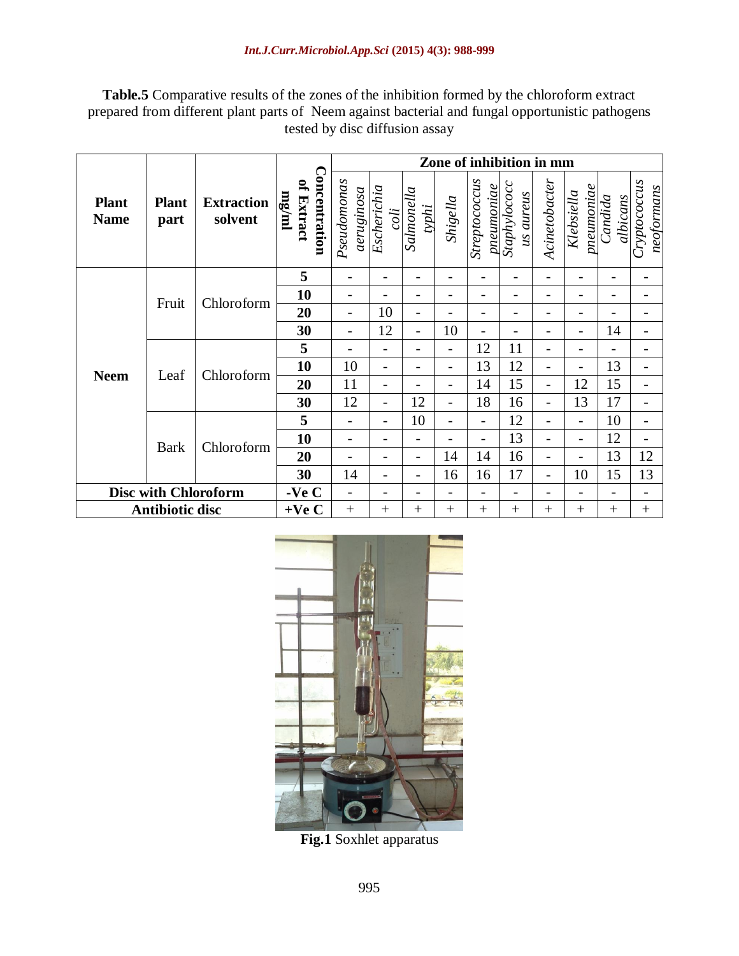**Table.5** Comparative results of the zones of the inhibition formed by the chloroform extract prepared from different plant parts of Neem against bacterial and fungal opportunistic pathogens tested by disc diffusion assay

|                             |                        |                              |                                      | Zone of inhibition in mm  |                          |                          |                          |                             |                           |                          |                            |                          |                            |  |  |
|-----------------------------|------------------------|------------------------------|--------------------------------------|---------------------------|--------------------------|--------------------------|--------------------------|-----------------------------|---------------------------|--------------------------|----------------------------|--------------------------|----------------------------|--|--|
| <b>Plant</b><br><b>Name</b> | <b>Plant</b><br>part   | <b>Extraction</b><br>solvent | Concentration<br>of Extract<br>mg/ml | Pseudomonas<br>aeruginosa | Escherichia<br>coli      | Salmonella<br>typhi      | Shigella                 | Streptococcus<br>pneumoniae | Staphylococc<br>us aureus | Acinetobacter            | $n$ eumoniae<br>Klebsiella | albicans<br>Candida      | Cryptococcus<br>neoformans |  |  |
|                             |                        |                              | 5                                    |                           | -                        | $\overline{\phantom{0}}$ | $\overline{\phantom{0}}$ | $\qquad \qquad$             | -                         | $\overline{\phantom{0}}$ | -                          | $\overline{\phantom{0}}$ |                            |  |  |
|                             | Fruit                  | Chloroform                   | 10                                   |                           |                          | $\overline{\phantom{0}}$ | $\overline{a}$           |                             | -                         |                          | $\overline{a}$             |                          |                            |  |  |
|                             |                        |                              | 20                                   | $\overline{\phantom{0}}$  | 10                       | $\overline{\phantom{0}}$ | -                        | $\qquad \qquad -$           | -                         | -<br>-                   |                            | -                        |                            |  |  |
|                             |                        |                              | 30                                   | $\overline{\phantom{a}}$  | 12                       | $\overline{\phantom{a}}$ | 10                       | $\qquad \qquad =$           | -                         | -                        | -                          | 14                       | $\overline{\phantom{0}}$   |  |  |
|                             |                        | Chloroform                   | 5                                    |                           | -                        | $\overline{\phantom{0}}$ | -                        | 12                          | 11                        | -                        | -                          |                          |                            |  |  |
| <b>Neem</b>                 | Leaf                   |                              | 10                                   | 10                        | $\overline{a}$           | $\overline{\phantom{0}}$ | $\overline{a}$           | 13                          | 12                        | $\overline{\phantom{0}}$ | $\overline{a}$             | 13                       | $\overline{\phantom{0}}$   |  |  |
|                             |                        |                              | 20                                   | 11                        | -                        | -                        | $\overline{a}$           | 14                          | 15                        | $\overline{\phantom{0}}$ | 12                         | 15                       | $\overline{\phantom{0}}$   |  |  |
|                             |                        |                              | 30                                   | 12                        | $\overline{\phantom{0}}$ | 12                       | $\overline{a}$           | 18                          | 16                        | -                        | 13                         | 17                       | $\overline{\phantom{a}}$   |  |  |
|                             |                        |                              | 5                                    |                           | -                        | 10                       | $\overline{a}$           | $\overline{\phantom{a}}$    | 12                        | $\overline{\phantom{0}}$ | $\overline{\phantom{0}}$   | 10                       | $\overline{\phantom{0}}$   |  |  |
|                             |                        | Chloroform                   | 10                                   |                           | -                        | $\qquad \qquad -$        | -                        | $\overline{\phantom{0}}$    | 13                        | -                        | -                          | 12                       | $\overline{\phantom{0}}$   |  |  |
|                             | <b>Bark</b>            |                              | 20                                   |                           |                          | $\qquad \qquad -$        | 14                       | 14                          | 16                        | -                        | -                          | 13                       | 12                         |  |  |
|                             |                        |                              | 30                                   | 14                        |                          | $\qquad \qquad -$        | 16                       | 16                          | 17                        | -                        | 10                         | 15                       | 13                         |  |  |
| <b>Disc with Chloroform</b> |                        | - $VeC$                      |                                      |                           |                          | -                        |                          |                             | Ξ.                        | -                        |                            |                          |                            |  |  |
|                             | <b>Antibiotic disc</b> |                              | $+Ve C$                              | $+$                       | $^{+}$                   | $^{+}$                   | $^{+}$                   | $+$                         | $^{+}$                    | $+$                      | $^{+}$                     | $+$                      | $^{+}$                     |  |  |



**Fig.1** Soxhlet apparatus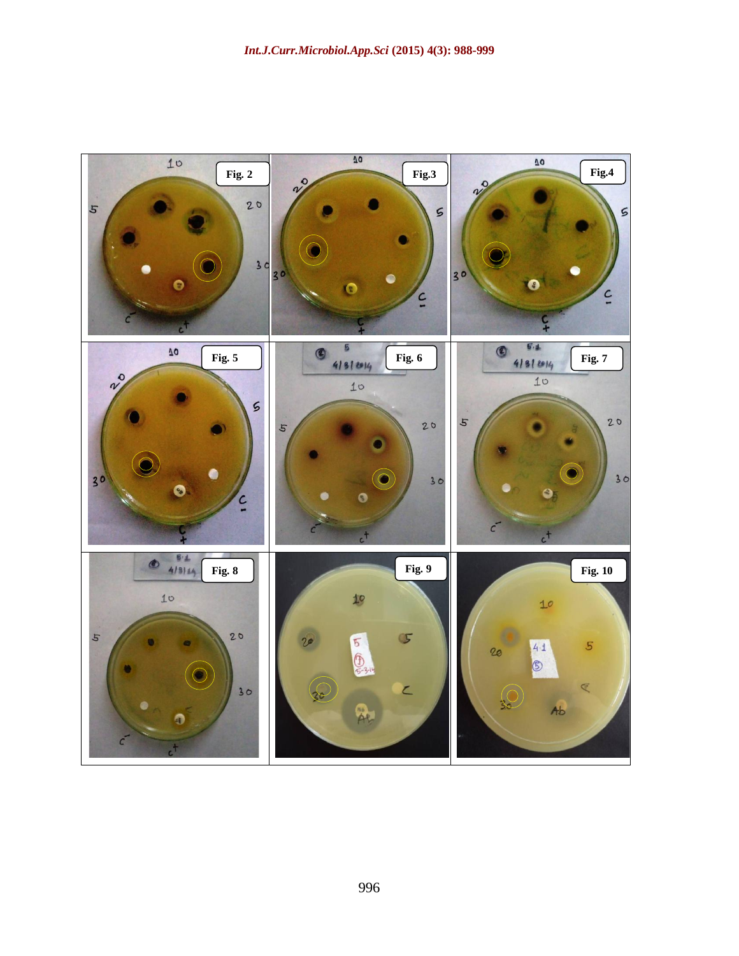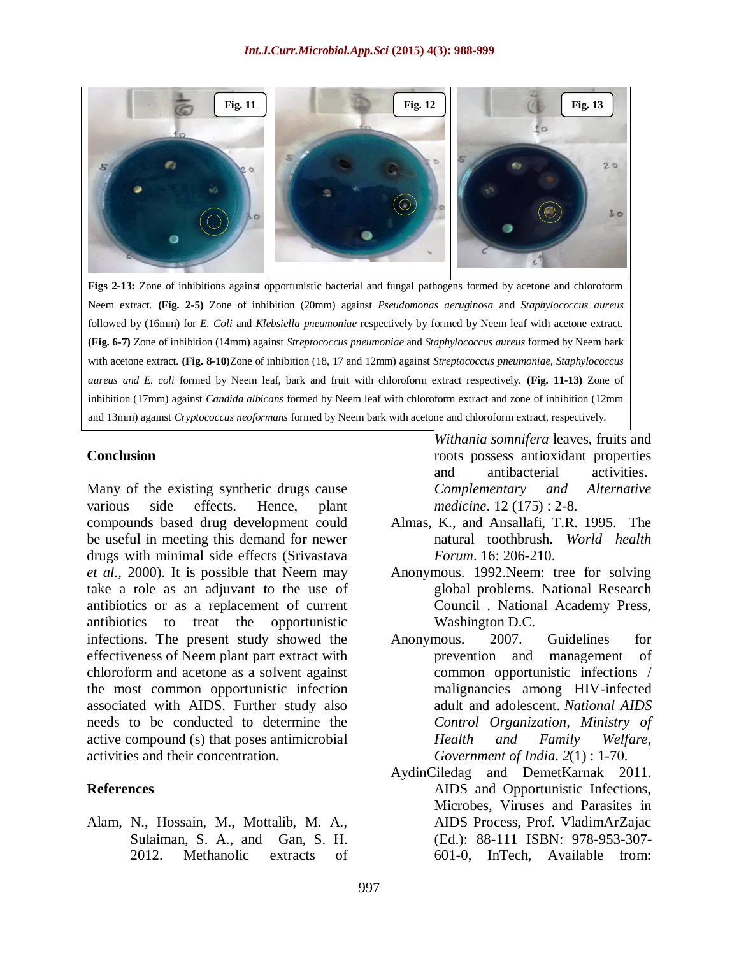

**Figs 2-13:** Zone of inhibitions against opportunistic bacterial and fungal pathogens formed by acetone and chloroform Neem extract. **(Fig. 2-5)** Zone of inhibition (20mm) against *Pseudomonas aeruginosa* and *Staphylococcus aureus* followed by (16mm) for *E. Coli* and *Klebsiella pneumoniae* respectively by formed by Neem leaf with acetone extract. **(Fig. 6-7)** Zone of inhibition (14mm) against *Streptococcus pneumoniae* and *Staphylococcus aureus* formed by Neem bark with acetone extract. **(Fig. 8-10)**Zone of inhibition (18, 17 and 12mm) against *Streptococcus pneumoniae, Staphylococcus aureus and E. coli* formed by Neem leaf, bark and fruit with chloroform extract respectively. **(Fig. 11-13)** Zone of inhibition (17mm) against *Candida albicans* formed by Neem leaf with chloroform extract and zone of inhibition (12mm and 13mm) against *Cryptococcus neoformans* formed by Neem bark with acetone and chloroform extract, respectively.

#### **Conclusion**

Many of the existing synthetic drugs cause various side effects. Hence, plant compounds based drug development could be useful in meeting this demand for newer drugs with minimal side effects (Srivastava *et al.,* 2000). It is possible that Neem may take a role as an adjuvant to the use of antibiotics or as a replacement of current antibiotics to treat the opportunistic infections. The present study showed the effectiveness of Neem plant part extract with chloroform and acetone as a solvent against the most common opportunistic infection associated with AIDS. Further study also needs to be conducted to determine the active compound (s) that poses antimicrobial activities and their concentration.

#### **References**

Alam, N., Hossain, M., Mottalib, M. A., Sulaiman, S. A., and Gan, S. H. 2012. Methanolic extracts of

*Withania somnifera* leaves, fruits and roots possess antioxidant properties and antibacterial activities. *Complementary and Alternative medicine*. 12 (175) : 2-8.

- Almas, K., and Ansallafi, T.R. 1995. The natural toothbrush. *World health Forum*. 16: 206-210.
- Anonymous. 1992.Neem: tree for solving global problems. National Research Council . National Academy Press, Washington D.C.
- Anonymous. 2007. Guidelines for prevention and management of common opportunistic infections / malignancies among HIV-infected adult and adolescent. *National AIDS Control Organization, Ministry of Health and Family Welfare, Government of India*. *2*(1) : 1-70.
- AydinCiledag and DemetKarnak 2011. AIDS and Opportunistic Infections, Microbes, Viruses and Parasites in AIDS Process, Prof. VladimArZajac (Ed.): 88-111 ISBN: 978-953-307- 601-0, InTech, Available from: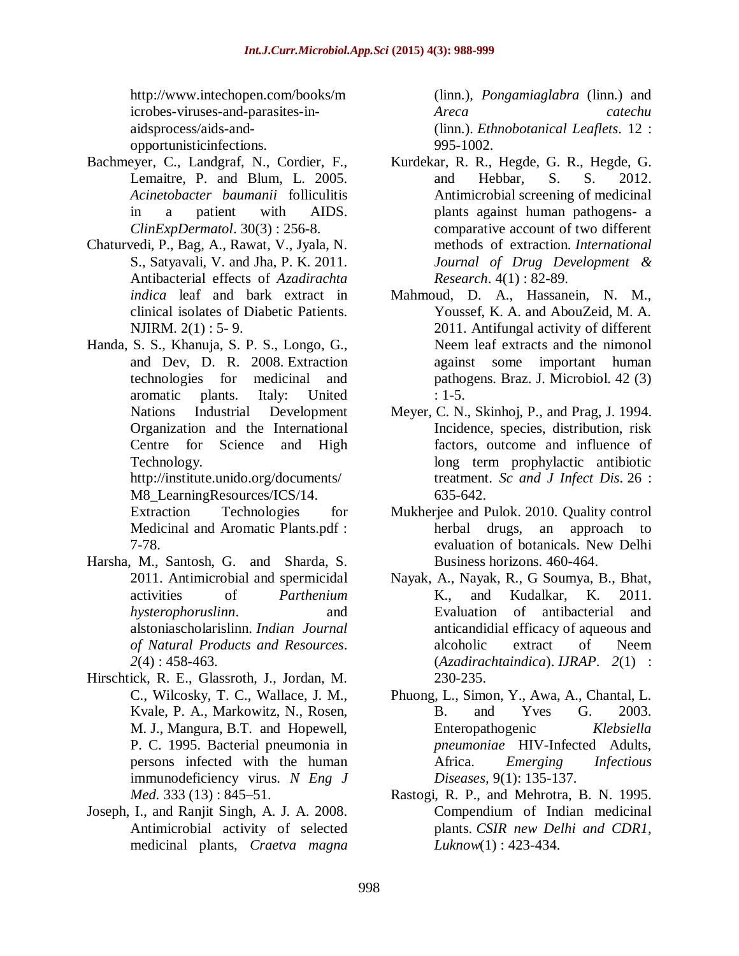[http://www.intechopen.com/books/m](http://www.intechopen.com/books/microbes-viruses-and-parasites-in-aids) [icrobes-viruses-and-parasites-in](http://www.intechopen.com/books/microbes-viruses-and-parasites-in-aids)[aidsp](http://www.intechopen.com/books/microbes-viruses-and-parasites-in-aids)rocess/aids-andopportunisticinfections.

- Bachmeyer, C., Landgraf, N., Cordier, F., Lemaitre, P. and Blum, L. 2005. *Acinetobacter baumanii* folliculitis in a patient with AIDS. *ClinExpDermatol*. 30(3) : 256-8.
- Chaturvedi, P., Bag, A., Rawat, V., Jyala, N. S., Satyavali, V. and Jha, P. K. 2011. Antibacterial effects of *Azadirachta indica* leaf and bark extract in clinical isolates of Diabetic Patients. NJIRM. 2(1) : 5- 9.
- Handa, S. S., Khanuja, S. P. S., Longo, G., and Dev, D. R. 2008. Extraction technologies for medicinal and aromatic plants. Italy: United Nations Industrial Development Organization and the International Centre for Science and High Technology. http://institute.unido.org/documents/ M8 LearningResources/ICS/14.

Extraction Technologies for Medicinal and Aromatic Plants.pdf : 7-78.

- Harsha, M., Santosh, G. and Sharda, S. 2011. Antimicrobial and spermicidal activities of *Parthenium hysterophoruslinn*. and alstoniascholarislinn. *Indian Journal of Natural Products and Resources*. *2*(4) : 458-463.
- Hirschtick, R. E., Glassroth, J., Jordan, M. C., Wilcosky, T. C., Wallace, J. M., Kvale, P. A., Markowitz, N., Rosen, M. J., Mangura, B.T. and Hopewell, P. C. 1995. Bacterial pneumonia in persons infected with the human immunodeficiency virus. *N Eng J Med.* 333 (13) : 845–51.
- Joseph, I., and Ranjit Singh, A. J. A. 2008. Antimicrobial activity of selected medicinal plants, *Craetva magna*

(linn.), *Pongamiaglabra* (linn.) and *Areca catechu* (linn.). *Ethnobotanical Leaflets*. 12 : 995-1002.

- Kurdekar, R. R., Hegde, G. R., Hegde, G. and Hebbar, S. S. 2012. Antimicrobial screening of medicinal plants against human pathogens- a comparative account of two different methods of extraction. *International Journal of Drug Development & Research*. 4(1) : 82-89.
- Mahmoud, D. A., Hassanein, N. M., Youssef, K. A. and AbouZeid, M. A. 2011. Antifungal activity of different Neem leaf extracts and the nimonol against some important human pathogens. Braz. J. Microbiol. 42 (3) : 1-5.
- Meyer, C. N., Skinhoj, P., and Prag, J. 1994. Incidence, species, distribution, risk factors, outcome and influence of long term prophylactic antibiotic treatment. *Sc and J Infect Dis*. 26 : 635-642.
- Mukherjee and Pulok. 2010. Quality control herbal drugs, an approach to evaluation of botanicals. New Delhi Business horizons. 460-464.
- Nayak, A., Nayak, R., G Soumya, B., Bhat, K., and Kudalkar, K. 2011. Evaluation of antibacterial and anticandidial efficacy of aqueous and alcoholic extract of Neem (*Azadirachtaindica*). *IJRAP*. *2*(1) : 230-235.
- Phuong, L., Simon, Y., Awa, A., Chantal, L. B. and Yves G. 2003. Enteropathogenic *Klebsiella pneumoniae* HIV-Infected Adults, Africa. *Emerging Infectious Diseases,* 9(1): 135-137.
- Rastogi, R. P., and Mehrotra, B. N. 1995. Compendium of Indian medicinal plants. *CSIR new Delhi and CDR1, Luknow*(1) : 423-434.